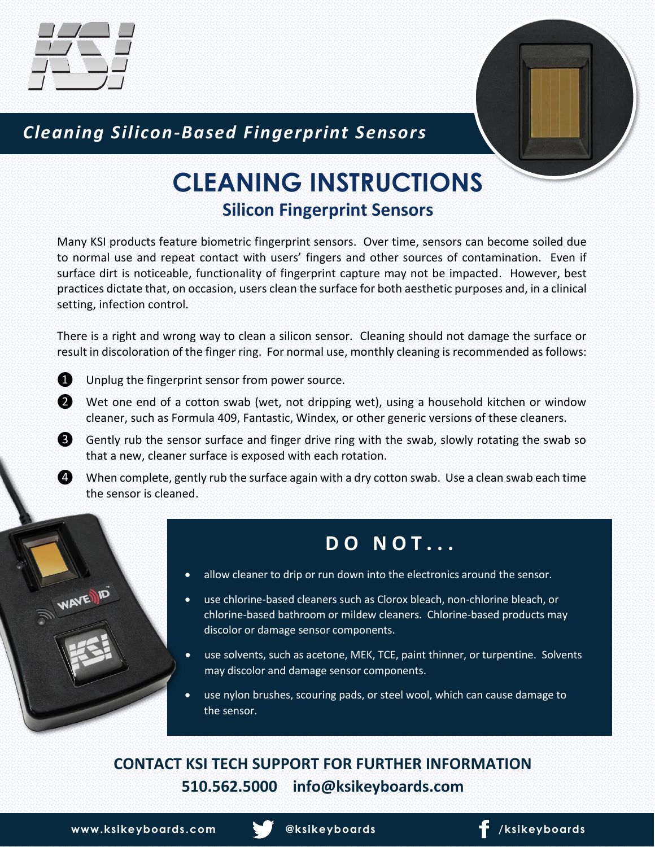

### *Cleaning Silicon-Based Fingerprint Sensors*

# **CLEANING INSTRUCTIONS Silicon Fingerprint Sensors**

Many KSI products feature biometric fingerprint sensors. Over time, sensors can become soiled due to normal use and repeat contact with users' fingers and other sources of contamination. Even if surface dirt is noticeable, functionality of fingerprint capture may not be impacted. However, best practices dictate that, on occasion, users clean the surface for both aesthetic purposes and, in a clinical setting, infection control.

There is a right and wrong way to clean a silicon sensor. Cleaning should not damage the surface or result in discoloration of the finger ring. For normal use, monthly cleaning is recommended as follows:



WAVENID

❶ Unplug the fingerprint sensor from power source.

- ❷ Wet one end of a cotton swab (wet, not dripping wet), using a household kitchen or window cleaner, such as Formula 409, Fantastic, Windex, or other generic versions of these cleaners.
- ❸ Gently rub the sensor surface and finger drive ring with the swab, slowly rotating the swab so that a new, cleaner surface is exposed with each rotation.
- **4** When complete, gently rub the surface again with a dry cotton swab. Use a clean swab each time the sensor is cleaned.

## **D O N O T . . .**

- allow cleaner to drip or run down into the electronics around the sensor.
- use chlorine-based cleaners such as Clorox bleach, non-chlorine bleach, or chlorine-based bathroom or mildew cleaners. Chlorine-based products may discolor or damage sensor components.
- use solvents, such as acetone, MEK, TCE, paint thinner, or turpentine. Solvents may discolor and damage sensor components.
- use nylon brushes, scouring pads, or steel wool, which can cause damage to the sensor.

### **CONTACT KSI TECH SUPPORT FOR FURTHER INFORMATION 510.562.5000 info@ksikeyboards.com**

**www.ksikeyboards.com @ksikeyboards** / **f** /ksikeyboards